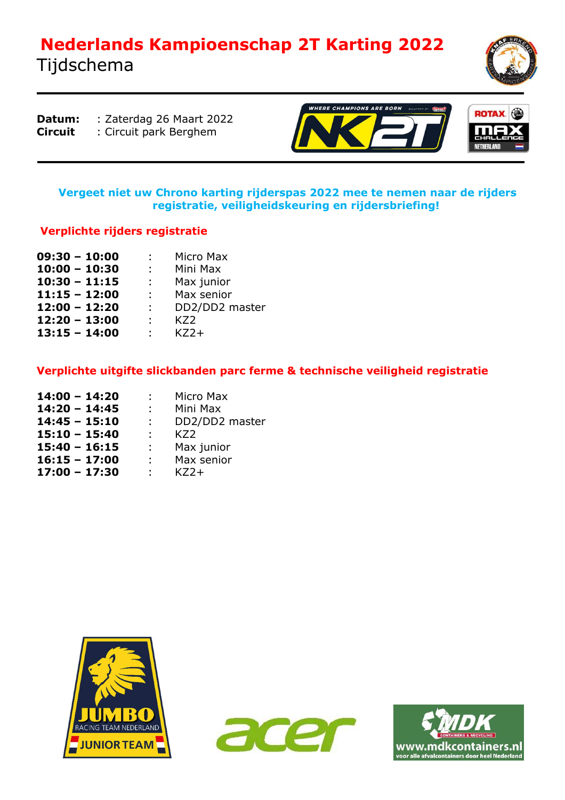## **Nederlands Kampioenschap 2T Karting 2022**  Tijdschema



**Datum:** : Zaterdag 26 Maart 2022 **Circuit** : Circuit park Berghem

1



#### **Vergeet niet uw Chrono karting rijderspas 2022 mee te nemen naar de rijders registratie, veiligheidskeuring en rijdersbriefing!**

### **Verplichte rijders registratie**

| $09:30 - 10:00$ | $\mathcal{L}^{\text{max}}$  | Micro Max      |  |  |
|-----------------|-----------------------------|----------------|--|--|
| $10:00 - 10:30$ | $\mathbb{R}^n$              | Mini Max       |  |  |
| $10:30 - 11:15$ | t in the                    | Max junior     |  |  |
| $11:15 - 12:00$ | $\mathbb{R}^{n}$            | Max senior     |  |  |
| $12:00 - 12:20$ | $\mathbb{R}^n$              | DD2/DD2 master |  |  |
| $12:20 - 13:00$ | $\mathcal{L}^{\mathcal{L}}$ | KZ2            |  |  |
| $13:15 - 14:00$ | t.                          | KZ             |  |  |

#### **Verplichte uitgifte slickbanden parc ferme & technische veiligheid registratie**

| $14:00 - 14:20$ | $\mathbb{R}^n$             | Micro Max      |  |  |
|-----------------|----------------------------|----------------|--|--|
| $14:20 - 14:45$ | $\mathcal{L}^{\text{max}}$ | Mini Max       |  |  |
| $14:45 - 15:10$ | $\mathbf{L}$               | DD2/DD2 master |  |  |
| $15:10 - 15:40$ | ÷.                         | KZ2            |  |  |
| $15:40 - 16:15$ | t i                        | Max junior     |  |  |
| $16:15 - 17:00$ | $\mathbb{R}^{n}$           | Max senior     |  |  |
| $17:00 - 17:30$ | ÷.                         | $KZ2+$         |  |  |